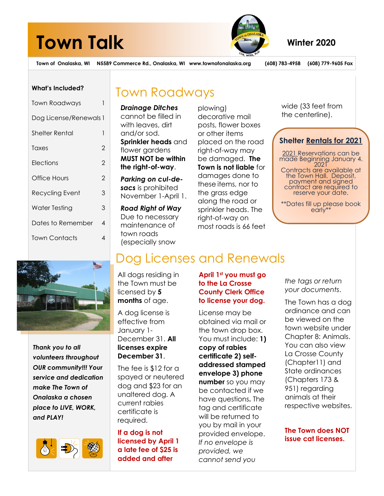# **Town Talk** Winter 2020



**Town of Onalaska, WI N5589 Commerce Rd., Onalaska, WI www.townofonalaska.org (608) 783-4958 (608) 779-9605 Fax**

# **What's Included?**

| <b>Town Roadways</b>   |   |  |
|------------------------|---|--|
| Dog License/Renewals 1 |   |  |
| Shelter Rental         | 1 |  |
| Taxes                  | 2 |  |
| Elections              | 2 |  |
| Office Hours           | 2 |  |
| Recycling Event        | 3 |  |
| Water Testing          | 3 |  |
| Dates to Remember      | 4 |  |
| Town Contacts          | 4 |  |
|                        |   |  |

# Town Roadways

*Drainage Ditches* cannot be filled in with leaves, dirt and/or sod. **Sprinkler heads** and flower gardens **MUST NOT be within the right-of-way**.

*Parking on cul-desacs* is prohibited November 1-April 1.

*Road Right of Way* Due to necessary maintenance of town roads (especially snow

plowing) decorative mail posts, flower boxes or other items placed on the road right-of-way may be damaged. **The Town is not liable** for damages done to these items, nor to the grass edge along the road or sprinkler heads. The right-of-way on most roads is 66 feet wide (33 feet from the centerline).

# **Shelter Rentals for 2021**

2021 Reservations can be made Beginning January 4. 2021 Contracts are available at the Town Hall. Deposit, payment and signed contract are required to reserve your date.

\*\*Dates fill up please book early\*\*



*Thank you to all volunteers throughout OUR community!!! Your service and dedication make The Town of Onalaska a chosen place to LIVE, WORK, and PLAY!*



# Dog Licenses and Renewals

All dogs residing in the Town must be licensed by **5 months** of age.

A dog license is effective from January 1- December 31. **All licenses expire December 31**.

The fee is \$12 for a spayed or neutered dog and \$23 for an unaltered dog. A current rabies certificate is required.

**If a dog is not licensed by April 1 a late fee of \$25 is added and after** 

# **April 1st you must go to the La Crosse County Clerk Office to license your dog.**

License may be obtained via mail or the town drop box. You must include: **1) copy of rabies certificate 2) selfaddressed stamped envelope 3) phone number** so you may be contacted if we have questions**.** The tag and certificate will be returned to you by mail in your provided envelope. *If no envelope is provided, we cannot send you*

*the tags or return your documents*.

The Town has a dog ordinance and can be viewed on the town website under Chapter 8: Animals. You can also view La Crosse County (Chapter11) and State ordinances (Chapters 173 & 951) regarding animals at their respective websites.

**The Town does NOT issue cat licenses.**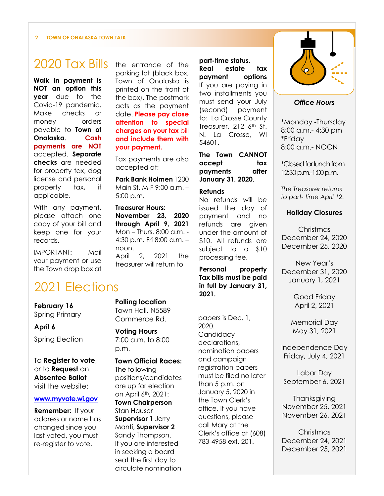#### **2 TOWN OF ONALASKA TOWN TALK**

# 2020 Tax Bills

**Walk in payment is NOT an option this year** due to the Covid-19 pandemic. Make checks or money orders payable to **Town of Onalaska**. **Cash payments are NOT** accepted. **Separate checks** are needed for property tax, dog license and personal property tax, if applicable.

With any payment, please attach one copy of your bill and keep one for your records.

IMPORTANT: Mail your payment or use the Town drop box at the entrance of the parking lot (black box, Town of Onalaska is printed on the front of the box). The postmark acts as the payment date. **Please pay close attention to special charges on your tax** bill **and include them with your payment.**

Tax payments are also accepted at:

**Park Bank Holmen** 1200 Main St. M-F  $9:00 \text{ a m}$  – 5:00 p.m.

**Treasurer Hours: November 23, 2020 through April 9, 2021** Mon – Thurs. 8:00 a.m. - 4:30 p.m. Fri 8:00 a.m. – noon. April 2, 2021 the treasurer will return to

# 2021 Elections

**February 16** Spring Primary

**April 6**

Spring Election

To **Register to vote**, or to **Request** an **Absentee Ballot** visit the website:

#### **[www.myvote.wi.gov](http://www.myvote.wi.gov/)**

**Remember:** If your address or name has changed since you last voted, you must re-register to vote.

# **Polling location**

Town Hall, N5589 Commerce Rd.

# **Voting Hours**

7:00 a.m. to 8:00 p.m.

### **Town Official Races:**

The following positions/candidates are up for election on April 6th, 2021: **Town Chairperson**

Stan Hauser **Supervisor 1** Jerry Monti, **Supervisor 2** Sandy Thompson. If you are interested in seeking a board seat the first day to circulate nomination

**part-time status. Real estate tax payment options** If you are paying in two installments you must send your July (second) payment to: La Crosse County Treasurer, 212 6th St. N. La Crosse, WI 54601.

**The Town CANNOT accept tax payments after January 31, 2020**.

#### **Refunds**

No refunds will be issued the day of payment and no refunds are given under the amount of \$10. All refunds are subject to a \$10 processing fee.

**Personal property Tax bills must be paid in full by January 31, 2021.**

papers is Dec. 1, 2020. **Candidacy** declarations, nomination papers and campaign registration papers must be filed no later than 5 p.m. on January 5, 2020 in the Town Clerk's office. If you have questions, please call Mary at the Clerk's office at (608) 783-4958 ext. 201.



### *Office Hours*

\*Monday -Thursday 8:00 a.m.- 4:30 pm \*Friday 8:00 a.m.- NOON

\*Closed for lunch from 12:30 p.m.-1:00p.m.

*The Treasurer returns to part- time April 12.*

# **Holiday Closures**

Christmas December 24, 2020 December 25, 2020

New Year's December 31, 2020 January 1, 2021

> Good Friday April 2, 2021

Memorial Day May 31, 2021

Independence Day Friday, July 4, 2021

Labor Day September 6, 2021

Thanksgiving November 25, 2021 November 26, 2021

Christmas December 24, 2021 December 25, 2021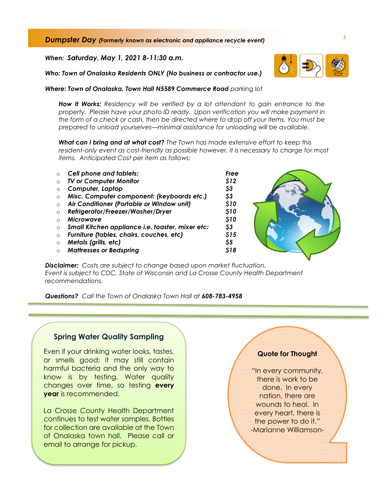**<sup>3</sup>** *Dumpster Day (Formerly known as electronic and appliance recycle event)* 

*When: Saturday, May 1, 2021 8-11:30 a.m.*

*Who: Town of Onalaska Residents ONLY (No business or contractor use.)*

*Where: Town of Onalaska, Town Hall N5589 Commerce Road parking lot*

*How It Works: Residency will be verified by a lot attendant to gain entrance to the property. Please have your photo ID ready. Upon verification you will make payment in the form of a check or cash, then be directed where to drop off your items. You must be prepared to unload yourselves—minimal assistance for unloading will be available.*

*What can I bring and at what cost? The Town has made extensive effort to keep this resident-only event as cost-friendly as possible however, it is necessary to charge for most items. Anticipated Cost per item as follows:*

| $\Omega$  | <b>Cell phone and tablets:</b>                   | Free |
|-----------|--------------------------------------------------|------|
| $\Omega$  | <b>TV or Computer Monitor</b>                    | \$12 |
| $\Omega$  | Computer, Laptop                                 | \$3  |
| $\Omega$  | Misc. Computer component: (keyboards etc.)       | \$3  |
| $\Omega$  | Air Conditioner (Portable or Window unit)        | \$10 |
| $\Omega$  | Refrigerator/Freezer/Washer/Dryer                | \$10 |
| $\bigcap$ | <b>Microwave</b>                                 | \$10 |
| $\Omega$  | Small Kitchen appliance i.e. toaster, mixer etc: | \$3  |
| $\Omega$  | Furniture (tables, chairs, couches, etc)         | \$15 |
| $\Omega$  | Metals (grills, etc)                             | \$5  |
| $\Omega$  | <b>Mattresses or Bedspring</b>                   | 518  |

*Disclaimer: Costs are subject to change based upon market fluctuation. Event is subject to CDC, State of Wisconsin and La Crosse County Health Department recommendations.* 

*Questions? Call the Town of Onalaska Town Hall at 608-783-4958* 

# **Spring Water Quality Sampling**

Even if your drinking water looks, tastes, or smells good; it may still contain harmful bacteria and the only way to know is by testing. Water quality changes over time, so testing **every year** is recommended.

La Crosse County Health Department continues to test water samples. Bottles for collection are available at the Town of Onalaska town hall. Please call or email to arrange for pickup.

#### **Quote for Thought**

"In every community, there is work to be done. In every nation, there are wounds to heal. In every heart, there is the power to do it." -Marianne Williamson-